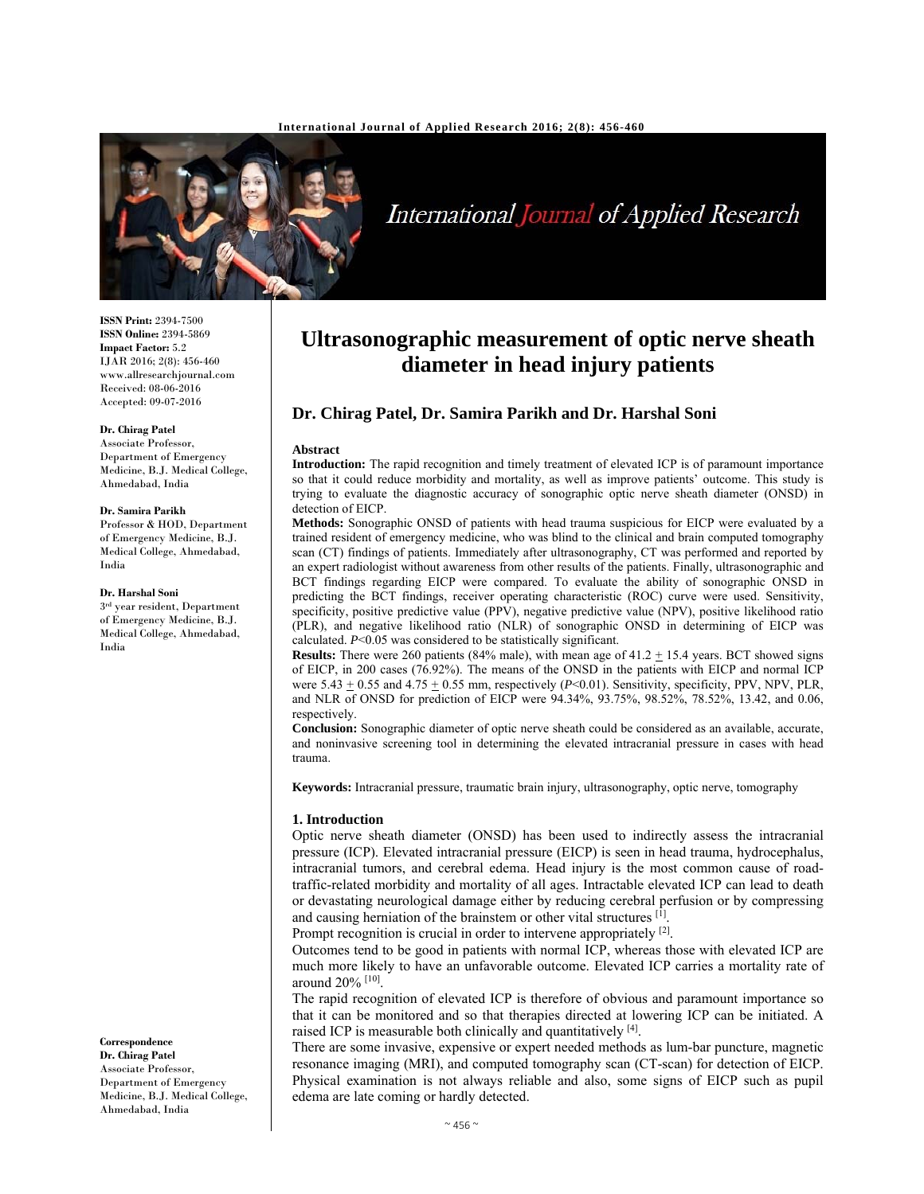

# International Journal of Applied Research

**ISSN Print:** 2394-7500 **ISSN Online:** 2394-5869 **Impact Factor:** 5.2 IJAR 2016; 2(8): 456-460 www.allresearchjournal.com Received: 08-06-2016 Accepted: 09-07-2016

#### **Dr. Chirag Patel**

Associate Professor, Department of Emergency Medicine, B.J. Medical College, Ahmedabad, India

#### **Dr. Samira Parikh**

Professor & HOD, Department of Emergency Medicine, B.J. Medical College, Ahmedabad, India

#### **Dr. Harshal Soni**

3rd year resident, Department of Emergency Medicine, B.J. Medical College, Ahmedabad, India

**Correspondence**

**Dr. Chirag Patel**  Associate Professor, Department of Emergency Medicine, B.J. Medical College, Ahmedabad, India

## **Ultrasonographic measurement of optic nerve sheath diameter in head injury patients**

### **Dr. Chirag Patel, Dr. Samira Parikh and Dr. Harshal Soni**

#### **Abstract**

**Introduction:** The rapid recognition and timely treatment of elevated ICP is of paramount importance so that it could reduce morbidity and mortality, as well as improve patients' outcome. This study is trying to evaluate the diagnostic accuracy of sonographic optic nerve sheath diameter (ONSD) in detection of EICP.

**Methods:** Sonographic ONSD of patients with head trauma suspicious for EICP were evaluated by a trained resident of emergency medicine, who was blind to the clinical and brain computed tomography scan (CT) findings of patients. Immediately after ultrasonography, CT was performed and reported by an expert radiologist without awareness from other results of the patients. Finally, ultrasonographic and BCT findings regarding EICP were compared. To evaluate the ability of sonographic ONSD in predicting the BCT findings, receiver operating characteristic (ROC) curve were used. Sensitivity, specificity, positive predictive value (PPV), negative predictive value (NPV), positive likelihood ratio (PLR), and negative likelihood ratio (NLR) of sonographic ONSD in determining of EICP was calculated. *P*<0.05 was considered to be statistically significant.

**Results:** There were 260 patients (84% male), with mean age of  $41.2 \pm 15.4$  years. BCT showed signs of EICP, in 200 cases (76.92%). The means of the ONSD in the patients with EICP and normal ICP were  $5.43 + 0.55$  and  $4.75 + 0.55$  mm, respectively ( $P < 0.01$ ). Sensitivity, specificity, PPV, NPV, PLR, and NLR of ONSD for prediction of EICP were 94.34%, 93.75%, 98.52%, 78.52%, 13.42, and 0.06, respectively.

**Conclusion:** Sonographic diameter of optic nerve sheath could be considered as an available, accurate, and noninvasive screening tool in determining the elevated intracranial pressure in cases with head trauma.

**Keywords:** Intracranial pressure, traumatic brain injury, ultrasonography, optic nerve, tomography

#### **1. Introduction**

Optic nerve sheath diameter (ONSD) has been used to indirectly assess the intracranial pressure (ICP). Elevated intracranial pressure (EICP) is seen in head trauma, hydrocephalus, intracranial tumors, and cerebral edema. Head injury is the most common cause of roadtraffic-related morbidity and mortality of all ages. Intractable elevated ICP can lead to death or devastating neurological damage either by reducing cerebral perfusion or by compressing and causing herniation of the brainstem or other vital structures [1].

Prompt recognition is crucial in order to intervene appropriately <sup>[2]</sup>.

Outcomes tend to be good in patients with normal ICP, whereas those with elevated ICP are much more likely to have an unfavorable outcome. Elevated ICP carries a mortality rate of around 20% [10].

The rapid recognition of elevated ICP is therefore of obvious and paramount importance so that it can be monitored and so that therapies directed at lowering ICP can be initiated. A raised ICP is measurable both clinically and quantitatively [4].

There are some invasive, expensive or expert needed methods as lum-bar puncture, magnetic resonance imaging (MRI), and computed tomography scan (CT-scan) for detection of EICP. Physical examination is not always reliable and also, some signs of EICP such as pupil edema are late coming or hardly detected.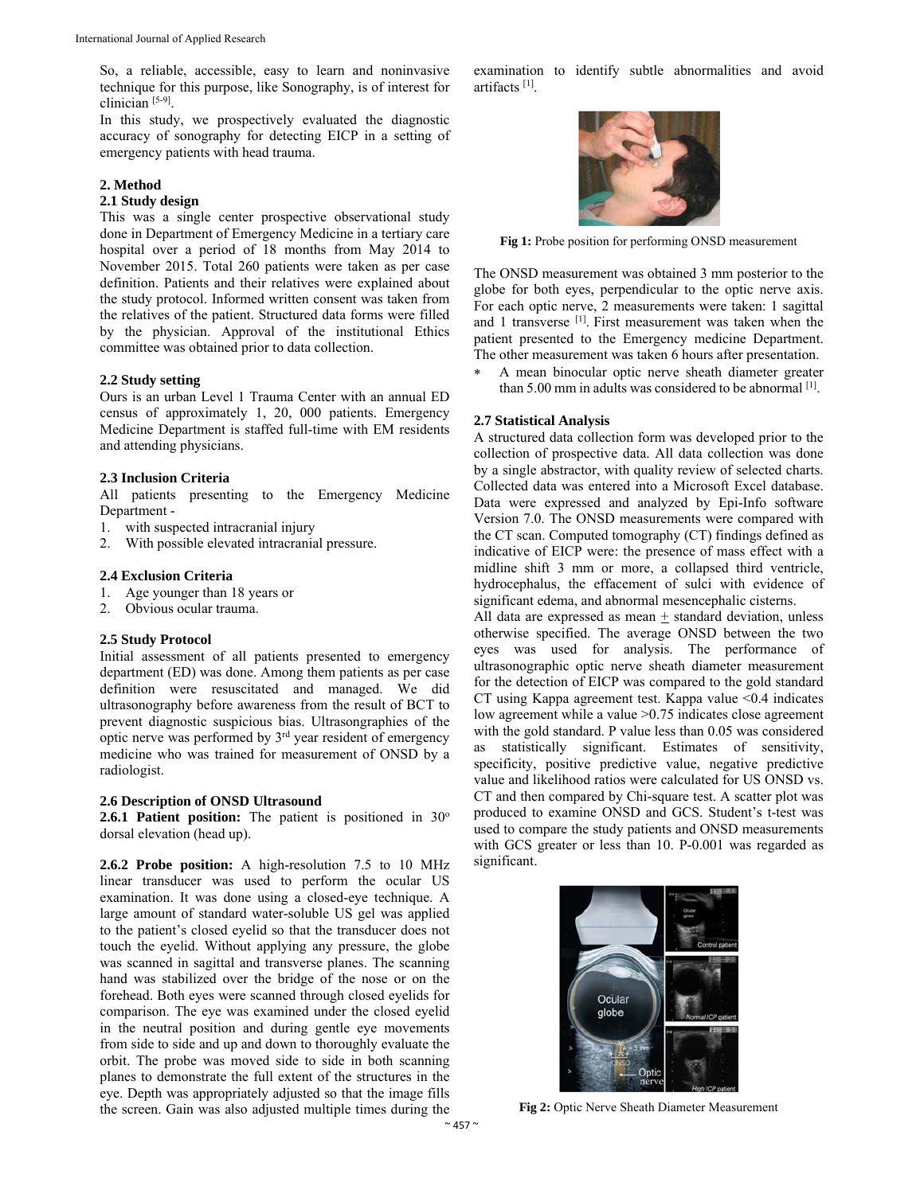So, a reliable, accessible, easy to learn and noninvasive technique for this purpose, like Sonography, is of interest for clinician [5-9].

In this study, we prospectively evaluated the diagnostic accuracy of sonography for detecting EICP in a setting of emergency patients with head trauma.

#### **2. Method**

#### **2.1 Study design**

This was a single center prospective observational study done in Department of Emergency Medicine in a tertiary care hospital over a period of 18 months from May 2014 to November 2015. Total 260 patients were taken as per case definition. Patients and their relatives were explained about the study protocol. Informed written consent was taken from the relatives of the patient. Structured data forms were filled by the physician. Approval of the institutional Ethics committee was obtained prior to data collection.

#### **2.2 Study setting**

Ours is an urban Level 1 Trauma Center with an annual ED census of approximately 1, 20, 000 patients. Emergency Medicine Department is staffed full-time with EM residents and attending physicians.

#### **2.3 Inclusion Criteria**

All patients presenting to the Emergency Medicine Department -

- 1. with suspected intracranial injury
- 2. With possible elevated intracranial pressure.

#### **2.4 Exclusion Criteria**

- 1. Age younger than 18 years or
- 2. Obvious ocular trauma.

#### **2.5 Study Protocol**

Initial assessment of all patients presented to emergency department (ED) was done. Among them patients as per case definition were resuscitated and managed. We did ultrasonography before awareness from the result of BCT to prevent diagnostic suspicious bias. Ultrasongraphies of the optic nerve was performed by 3rd year resident of emergency medicine who was trained for measurement of ONSD by a radiologist.

#### **2.6 Description of ONSD Ultrasound**

2.6.1 Patient position: The patient is positioned in 30<sup>o</sup> dorsal elevation (head up).

**2.6.2 Probe position:** A high-resolution 7.5 to 10 MHz linear transducer was used to perform the ocular US examination. It was done using a closed-eye technique. A large amount of standard water-soluble US gel was applied to the patient's closed eyelid so that the transducer does not touch the eyelid. Without applying any pressure, the globe was scanned in sagittal and transverse planes. The scanning hand was stabilized over the bridge of the nose or on the forehead. Both eyes were scanned through closed eyelids for comparison. The eye was examined under the closed eyelid in the neutral position and during gentle eye movements from side to side and up and down to thoroughly evaluate the orbit. The probe was moved side to side in both scanning planes to demonstrate the full extent of the structures in the eye. Depth was appropriately adjusted so that the image fills the screen. Gain was also adjusted multiple times during the

examination to identify subtle abnormalities and avoid artifacts [1].



**Fig 1:** Probe position for performing ONSD measurement

The ONSD measurement was obtained 3 mm posterior to the globe for both eyes, perpendicular to the optic nerve axis. For each optic nerve, 2 measurements were taken: 1 sagittal and 1 transverse [1]. First measurement was taken when the patient presented to the Emergency medicine Department. The other measurement was taken 6 hours after presentation.

 A mean binocular optic nerve sheath diameter greater than 5.00 mm in adults was considered to be abnormal [1].

#### **2.7 Statistical Analysis**

A structured data collection form was developed prior to the collection of prospective data. All data collection was done by a single abstractor, with quality review of selected charts. Collected data was entered into a Microsoft Excel database. Data were expressed and analyzed by Epi-Info software Version 7.0. The ONSD measurements were compared with the CT scan. Computed tomography (CT) findings defined as indicative of EICP were: the presence of mass effect with a midline shift 3 mm or more, a collapsed third ventricle, hydrocephalus, the effacement of sulci with evidence of significant edema, and abnormal mesencephalic cisterns.

All data are expressed as mean + standard deviation, unless otherwise specified. The average ONSD between the two eyes was used for analysis. The performance of ultrasonographic optic nerve sheath diameter measurement for the detection of EICP was compared to the gold standard CT using Kappa agreement test. Kappa value <0.4 indicates low agreement while a value >0.75 indicates close agreement with the gold standard. P value less than 0.05 was considered as statistically significant. Estimates of sensitivity, specificity, positive predictive value, negative predictive value and likelihood ratios were calculated for US ONSD vs. CT and then compared by Chi-square test. A scatter plot was produced to examine ONSD and GCS. Student's t-test was used to compare the study patients and ONSD measurements with GCS greater or less than 10. P-0.001 was regarded as significant.



**Fig 2:** Optic Nerve Sheath Diameter Measurement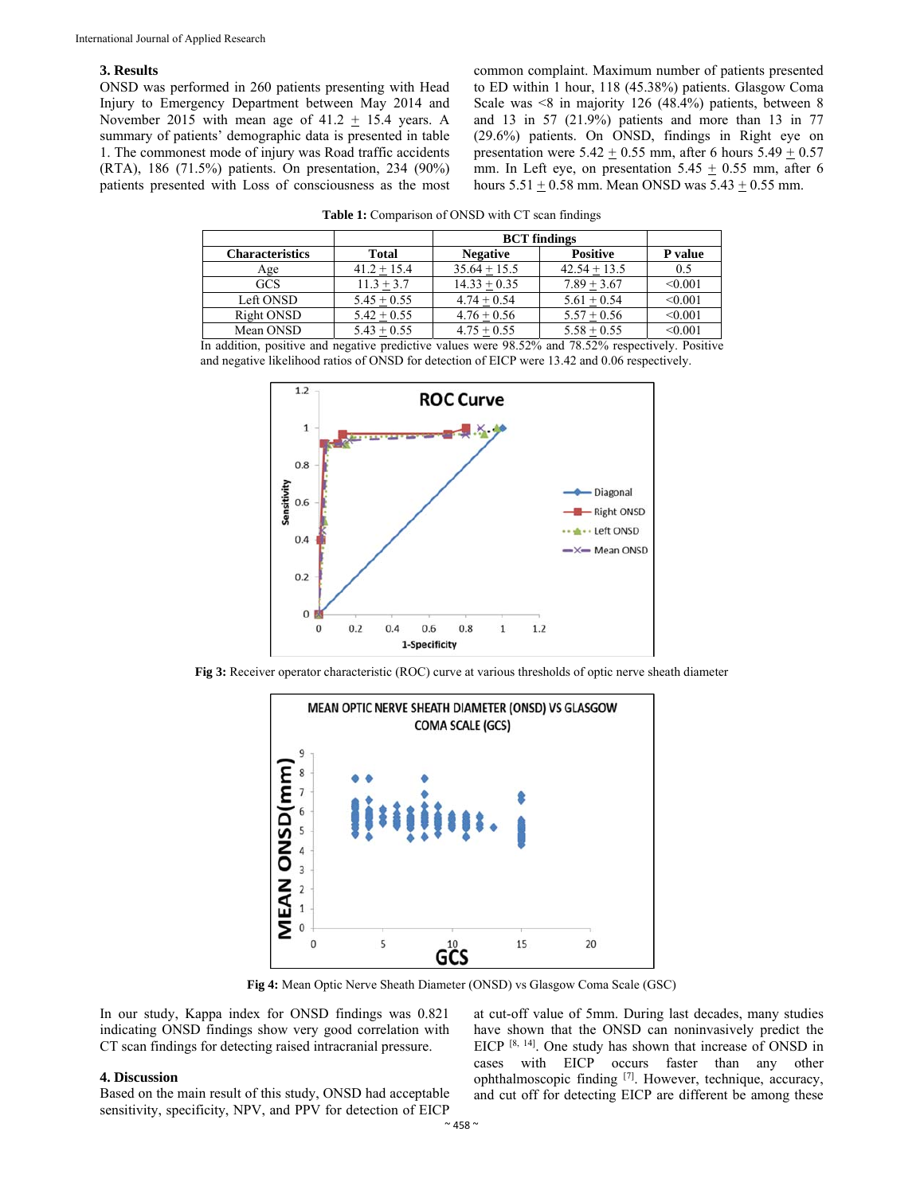#### **3. Results**

ONSD was performed in 260 patients presenting with Head Injury to Emergency Department between May 2014 and November 2015 with mean age of  $41.2 + 15.4$  years. A summary of patients' demographic data is presented in table 1. The commonest mode of injury was Road traffic accidents (RTA), 186 (71.5%) patients. On presentation, 234 (90%) patients presented with Loss of consciousness as the most common complaint. Maximum number of patients presented to ED within 1 hour, 118 (45.38%) patients. Glasgow Coma Scale was <8 in majority 126 (48.4%) patients, between 8 and 13 in 57 (21.9%) patients and more than 13 in 77 (29.6%) patients. On ONSD, findings in Right eye on presentation were  $5.42 \pm 0.55$  mm, after 6 hours  $5.49 \pm 0.57$ mm. In Left eye, on presentation  $5.45 \pm 0.55$  mm, after 6 hours  $5.51 \pm 0.58$  mm. Mean ONSD was  $5.43 \pm 0.55$  mm.

|                        |               | <b>BCT</b> findings |                 |         |  |
|------------------------|---------------|---------------------|-----------------|---------|--|
| <b>Characteristics</b> | <b>Total</b>  | <b>Negative</b>     | <b>Positive</b> | P value |  |
| Age                    | $41.2 + 15.4$ | $35.64 + 15.5$      | $42.54 + 13.5$  | 0.5     |  |
| <b>GCS</b>             | $11.3 + 3.7$  | $14.33 + 0.35$      | $7.89 + 3.67$   | < 0.001 |  |
| Left ONSD              | $5.45 + 0.55$ | $4.74 + 0.54$       | $5.61 + 0.54$   | < 0.001 |  |
| Right ONSD             | $5.42 + 0.55$ | $4.76 + 0.56$       | $5.57 + 0.56$   | < 0.001 |  |
| Mean ONSD              | $5.43 + 0.55$ | $4.75 + 0.55$       | $5.58 + 0.55$   | < 0.001 |  |

**Table 1:** Comparison of ONSD with CT scan findings

In addition, positive and negative predictive values were 98.52% and 78.52% respectively. Positive and negative likelihood ratios of ONSD for detection of EICP were 13.42 and 0.06 respectively.



**Fig 3:** Receiver operator characteristic (ROC) curve at various thresholds of optic nerve sheath diameter



**Fig 4:** Mean Optic Nerve Sheath Diameter (ONSD) vs Glasgow Coma Scale (GSC)

In our study, Kappa index for ONSD findings was 0.821 indicating ONSD findings show very good correlation with CT scan findings for detecting raised intracranial pressure.

#### **4. Discussion**

Based on the main result of this study, ONSD had acceptable sensitivity, specificity, NPV, and PPV for detection of EICP

at cut-off value of 5mm. During last decades, many studies have shown that the ONSD can noninvasively predict the EICP [8, 14]. One study has shown that increase of ONSD in cases with EICP occurs faster than any other ophthalmoscopic finding [7]. However, technique, accuracy, and cut off for detecting EICP are different be among these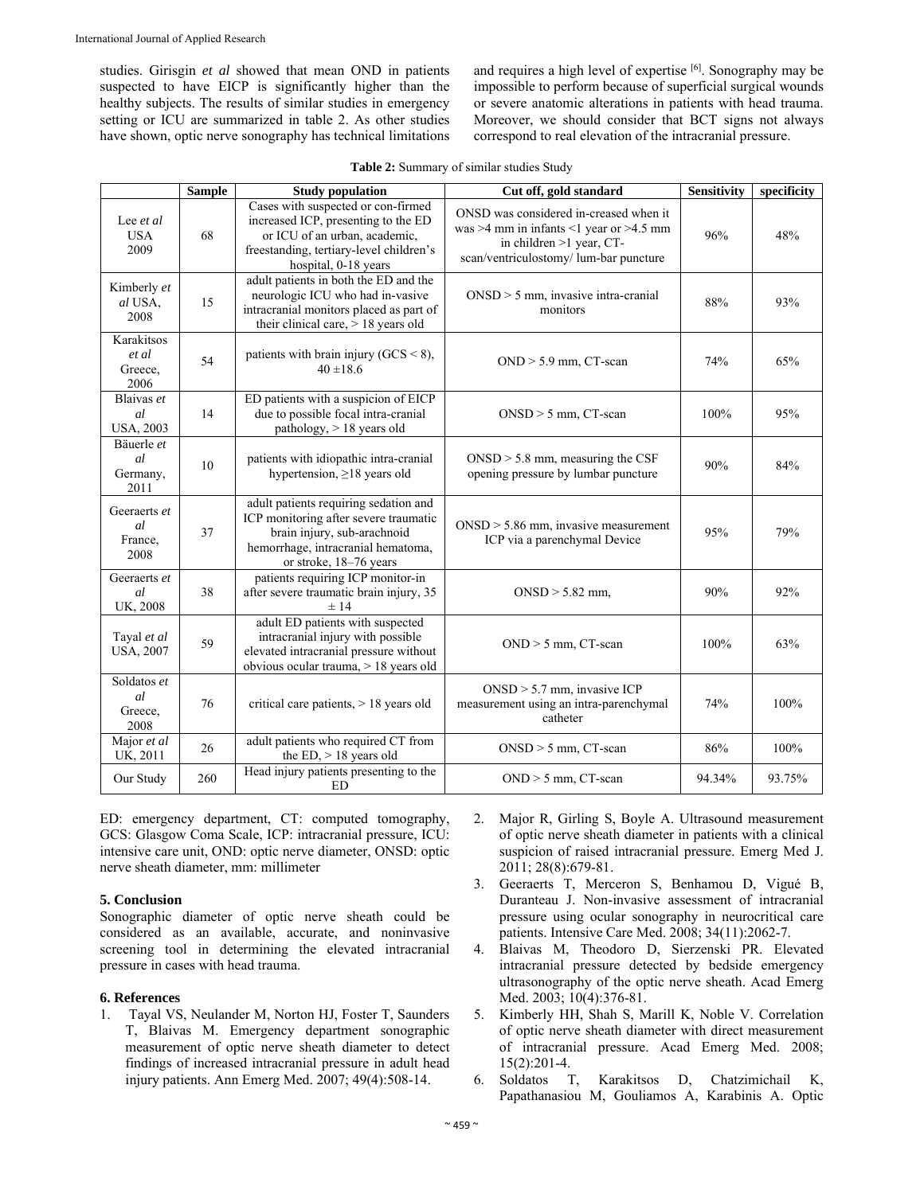studies. Girisgin *et al* showed that mean OND in patients suspected to have EICP is significantly higher than the healthy subjects. The results of similar studies in emergency setting or ICU are summarized in table 2. As other studies have shown, optic nerve sonography has technical limitations

and requires a high level of expertise [6]. Sonography may be impossible to perform because of superficial surgical wounds or severe anatomic alterations in patients with head trauma. Moreover, we should consider that BCT signs not always correspond to real elevation of the intracranial pressure.

| <b>Table 2:</b> Summary of similar studies Study |  |  |  |  |
|--------------------------------------------------|--|--|--|--|
|--------------------------------------------------|--|--|--|--|

|                                                 | <b>Sample</b> | <b>Study population</b>                                                                                                                                                       | Cut off, gold standard                                                                                                                                        | <b>Sensitivity</b> | specificity |
|-------------------------------------------------|---------------|-------------------------------------------------------------------------------------------------------------------------------------------------------------------------------|---------------------------------------------------------------------------------------------------------------------------------------------------------------|--------------------|-------------|
| Lee et al<br><b>USA</b><br>2009                 | 68            | Cases with suspected or con-firmed<br>increased ICP, presenting to the ED<br>or ICU of an urban, academic,<br>freestanding, tertiary-level children's<br>hospital, 0-18 years | ONSD was considered in-creased when it<br>was $>4$ mm in infants <1 year or $>4.5$ mm<br>in children $>1$ year, CT-<br>scan/ventriculostomy/ lum-bar puncture | 96%                | 48%         |
| Kimberly et<br>al USA,<br>2008                  | 15            | adult patients in both the ED and the<br>neurologic ICU who had in-vasive<br>intracranial monitors placed as part of<br>their clinical care, $> 18$ years old                 | $ONSD > 5$ mm, invasive intra-cranial<br>monitors                                                                                                             | 88%                | 93%         |
| Karakitsos<br>et al<br>Greece,<br>2006          | 54            | patients with brain injury $(GCS < 8)$ ,<br>$40 \pm 18.6$                                                                                                                     | $OND > 5.9$ mm, CT-scan                                                                                                                                       | 74%                | 65%         |
| Blaivas et<br>al<br><b>USA, 2003</b>            | 14            | ED patients with a suspicion of EICP<br>due to possible focal intra-cranial<br>pathology, > 18 years old                                                                      | $ONSD > 5$ mm, CT-scan                                                                                                                                        | 100%               | 95%         |
| Bäuerle et<br><sub>al</sub><br>Germany,<br>2011 | 10            | patients with idiopathic intra-cranial<br>hypertension, $\geq$ 18 years old                                                                                                   | $ONSD > 5.8$ mm, measuring the CSF<br>opening pressure by lumbar puncture                                                                                     | 90%                | 84%         |
| Geeraerts et<br>al<br>France,<br>2008           | 37            | adult patients requiring sedation and<br>ICP monitoring after severe traumatic<br>brain injury, sub-arachnoid<br>hemorrhage, intracranial hematoma,<br>or stroke, 18-76 years | $ONSD > 5.86$ mm, invasive measurement<br>ICP via a parenchymal Device                                                                                        | 95%                | 79%         |
| Geeraerts et<br>al<br>UK, 2008                  | 38            | patients requiring ICP monitor-in<br>after severe traumatic brain injury, 35<br>±14                                                                                           | $ONSD > 5.82$ mm,                                                                                                                                             | 90%                | 92%         |
| Tayal et al<br><b>USA, 2007</b>                 | 59            | adult ED patients with suspected<br>intracranial injury with possible<br>elevated intracranial pressure without<br>obvious ocular trauma, > 18 years old                      | $OND > 5$ mm, $CT$ -scan                                                                                                                                      | 100%               | 63%         |
| Soldatos et<br>al<br>Greece,<br>2008            | 76            | critical care patients, > 18 years old                                                                                                                                        | $ONSD > 5.7$ mm, invasive ICP<br>measurement using an intra-parenchymal<br>catheter                                                                           | 74%                | 100%        |
| Major et al<br>UK, 2011                         | 26            | adult patients who required CT from<br>the $ED$ , $> 18$ years old                                                                                                            | $ONSD > 5$ mm, CT-scan                                                                                                                                        | 86%                | 100%        |
| Our Study                                       | 260           | Head injury patients presenting to the<br>ED.                                                                                                                                 | $OND > 5$ mm, $CT$ -scan                                                                                                                                      | 94.34%             | 93.75%      |

ED: emergency department, CT: computed tomography, GCS: Glasgow Coma Scale, ICP: intracranial pressure, ICU: intensive care unit, OND: optic nerve diameter, ONSD: optic nerve sheath diameter, mm: millimeter

#### **5. Conclusion**

Sonographic diameter of optic nerve sheath could be considered as an available, accurate, and noninvasive screening tool in determining the elevated intracranial pressure in cases with head trauma.

#### **6. References**

1. Tayal VS, Neulander M, Norton HJ, Foster T, Saunders T, Blaivas M. Emergency department sonographic measurement of optic nerve sheath diameter to detect findings of increased intracranial pressure in adult head injury patients. Ann Emerg Med. 2007; 49(4):508-14.

- 2. Major R, Girling S, Boyle A. Ultrasound measurement of optic nerve sheath diameter in patients with a clinical suspicion of raised intracranial pressure. Emerg Med J. 2011; 28(8):679-81.
- 3. Geeraerts T, Merceron S, Benhamou D, Vigué B, Duranteau J. Non-invasive assessment of intracranial pressure using ocular sonography in neurocritical care patients. Intensive Care Med. 2008; 34(11):2062-7.
- 4. Blaivas M, Theodoro D, Sierzenski PR. Elevated intracranial pressure detected by bedside emergency ultrasonography of the optic nerve sheath. Acad Emerg Med. 2003; 10(4):376-81.
- 5. Kimberly HH, Shah S, Marill K, Noble V. Correlation of optic nerve sheath diameter with direct measurement of intracranial pressure. Acad Emerg Med. 2008; 15(2):201-4.
- 6. Soldatos T, Karakitsos D, Chatzimichail K, Papathanasiou M, Gouliamos A, Karabinis A. Optic